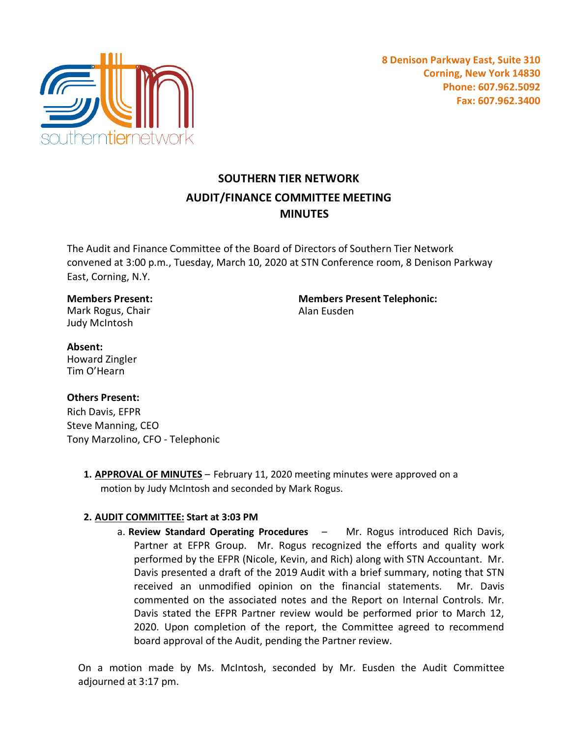

# **SOUTHERN TIER NETWORK AUDIT/FINANCE COMMITTEE MEETING MINUTES**

The Audit and Finance Committee of the Board of Directors of Southern Tier Network convened at 3:00 p.m., Tuesday, March 10, 2020 at STN Conference room, 8 Denison Parkway East, Corning, N.Y.

# **Members Present:**

Mark Rogus, Chair Judy McIntosh

**Members Present Telephonic:** Alan Eusden

#### **Absent:** Howard Zingler Tim O'Hearn

## **Others Present:**

Rich Davis, EFPR Steve Manning, CEO Tony Marzolino, CFO - Telephonic

> **1. APPROVAL OF MINUTES** – February 11, 2020 meeting minutes were approved on a motion by Judy McIntosh and seconded by Mark Rogus.

## **2. AUDIT COMMITTEE: Start at 3:03 PM**

a. **Review Standard Operating Procedures** – Mr. Rogus introduced Rich Davis, Partner at EFPR Group. Mr. Rogus recognized the efforts and quality work performed by the EFPR (Nicole, Kevin, and Rich) along with STN Accountant. Mr. Davis presented a draft of the 2019 Audit with a brief summary, noting that STN received an unmodified opinion on the financial statements. Mr. Davis commented on the associated notes and the Report on Internal Controls. Mr. Davis stated the EFPR Partner review would be performed prior to March 12, 2020. Upon completion of the report, the Committee agreed to recommend board approval of the Audit, pending the Partner review.

On a motion made by Ms. McIntosh, seconded by Mr. Eusden the Audit Committee adjourned at 3:17 pm.